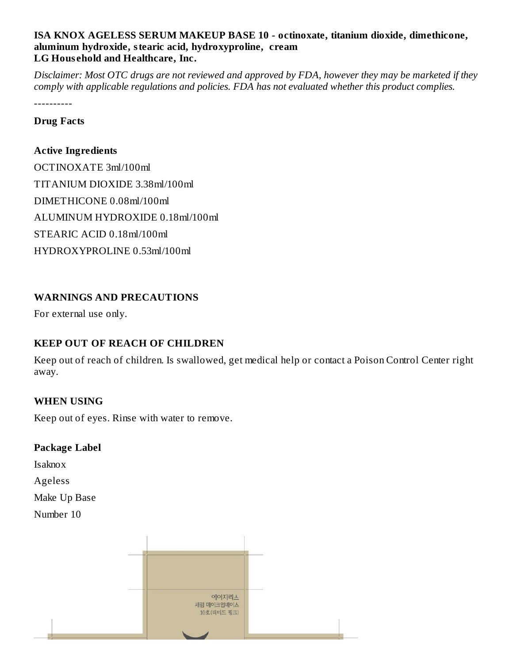## **ISA KNOX AGELESS SERUM MAKEUP BASE 10 - octinoxate, titanium dioxide, dimethicone, aluminum hydroxide, stearic acid, hydroxyproline, cream LG Hous ehold and Healthcare, Inc.**

Disclaimer: Most OTC drugs are not reviewed and approved by FDA, however they may be marketed if they *comply with applicable regulations and policies. FDA has not evaluated whether this product complies.*

----------

#### **Drug Facts**

## **Active Ingredients**

OCTINOXATE 3ml/100ml TITANIUM DIOXIDE 3.38ml/100ml DIMETHICONE 0.08ml/100ml ALUMINUM HYDROXIDE 0.18ml/100ml STEARIC ACID 0.18ml/100ml HYDROXYPROLINE 0.53ml/100ml

# **WARNINGS AND PRECAUTIONS**

For external use only.

# **KEEP OUT OF REACH OF CHILDREN**

Keep out of reach of children. Is swallowed, get medical help or contact a Poison Control Center right away.

## **WHEN USING**

Keep out of eyes. Rinse with water to remove.

### **Package Label**

Isaknox

Ageless

Make Up Base

Number 10

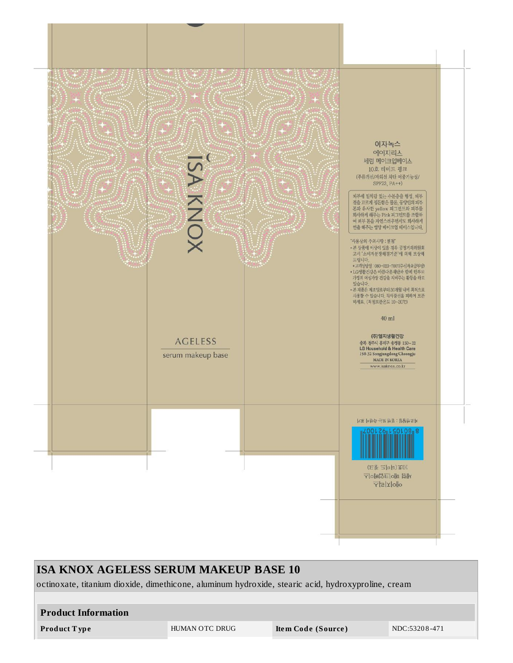

| <b>ISA KNOX AGELESS SERUM MAKEUP BASE 10</b>                                                       |                |                    |               |  |
|----------------------------------------------------------------------------------------------------|----------------|--------------------|---------------|--|
| octinoxate, titanium dioxide, dimethicone, aluminum hydroxide, stearic acid, hydroxyproline, cream |                |                    |               |  |
|                                                                                                    |                |                    |               |  |
| <b>Product Information</b>                                                                         |                |                    |               |  |
| <b>Product Type</b>                                                                                | HUMAN OTC DRUG | Item Code (Source) | NDC:53208-471 |  |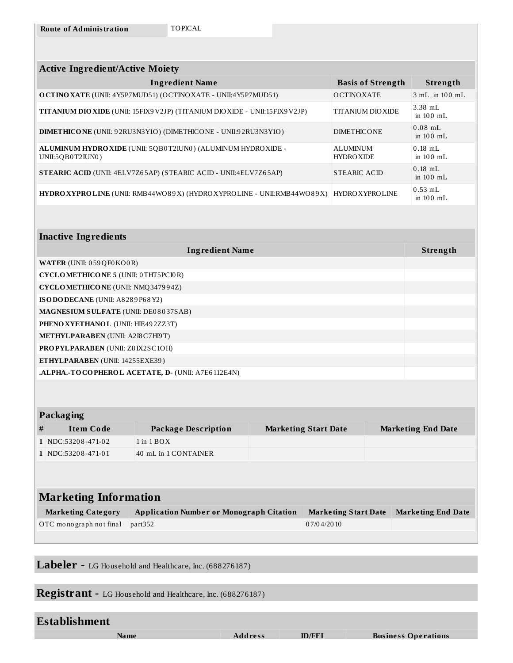| <b>Active Ingredient/Active Moiety</b>                                              |                                      |                          |  |  |
|-------------------------------------------------------------------------------------|--------------------------------------|--------------------------|--|--|
| <b>Ingredient Name</b>                                                              | <b>Basis of Strength</b>             | <b>Strength</b>          |  |  |
| <b>O CTINO XATE</b> (UNII: 4Y5P7MUD51) (OCTINO XATE - UNII:4Y5P7MUD51)              | <b>OCTINOXATE</b>                    | $3 \text{ mL}$ in 100 mL |  |  |
| <b>TITANIUM DIO XIDE</b> (UNII: 15FIX9 V2JP) (TITANIUM DIO XIDE - UNII:15FIX9 V2JP) | <b>TITANIUM DIOXIDE</b>              | $3.38$ mL<br>in $100$ mL |  |  |
| <b>DIMETHICONE</b> (UNII: 92RU3N3Y1O) (DIMETHICONE - UNII:92RU3N3Y1O)               | <b>DIMETHICONE</b>                   | $0.08$ mL<br>in $100$ mL |  |  |
| ALUMINUM HYDRO XIDE (UNII: 5QB0T2IUN0) (ALUMINUM HYDRO XIDE -<br>UNII:5QB0T2IUN0)   | <b>ALUMINUM</b><br><b>HYDRO XIDE</b> | $0.18$ mL<br>in $100$ mL |  |  |
| <b>STEARIC ACID (UNII: 4ELV7Z65AP) (STEARIC ACID - UNII:4ELV7Z65AP)</b>             | STEARIC ACID                         | $0.18$ mL<br>in $100$ mL |  |  |
| HYDRO XYPROLINE (UNII: RMB44WO89X) (HYDRO XYPROLINE - UNII:RMB44WO89X)              | <b>HYDRO XYPROLINE</b>               | $0.53$ mL<br>in $100$ mL |  |  |
|                                                                                     |                                      |                          |  |  |

| <b>Inactive Ingredients</b>                             |                 |  |  |
|---------------------------------------------------------|-----------------|--|--|
| <b>Ingredient Name</b>                                  | <b>Strength</b> |  |  |
| <b>WATER (UNII: 059 QF0 KO0 R)</b>                      |                 |  |  |
| <b>CYCLOMETHICONE 5 (UNII: 0THT5PCI0R)</b>              |                 |  |  |
| CYCLOMETHICONE (UNII: NMQ347994Z)                       |                 |  |  |
| ISO DO DECANE (UNII: A8289P68Y2)                        |                 |  |  |
| <b>MAGNESIUM SULFATE (UNII: DE08037SAB)</b>             |                 |  |  |
| PHENO XYETHANOL (UNII: HIE492ZZ3T)                      |                 |  |  |
| <b>METHYLPARABEN</b> (UNII: A2I8C7H19T)                 |                 |  |  |
| <b>PROPYLPARABEN (UNII: Z8IX2SC1OH)</b>                 |                 |  |  |
| ETHYLPARABEN (UNII: 14255EXE39)                         |                 |  |  |
| <b>ALPHA.-TOCOPHEROL ACETATE, D. (UNII: A7E6112E4N)</b> |                 |  |  |

| <b>Packaging</b>             |  |  |                             |  |                           |
|------------------------------|--|--|-----------------------------|--|---------------------------|
| <b>Package Description</b>   |  |  |                             |  |                           |
| $1$ in $1$ BOX               |  |  |                             |  |                           |
| 40 mL in 1 CONTAINER         |  |  |                             |  |                           |
|                              |  |  |                             |  |                           |
|                              |  |  |                             |  |                           |
| <b>Marketing Information</b> |  |  |                             |  |                           |
|                              |  |  | <b>Marketing Start Date</b> |  | <b>Marketing End Date</b> |

| <b>Marketing Category</b>       | <b>Application Number or Monograph Citation</b> | Marketing Start Date Marketing End Date |  |
|---------------------------------|-------------------------------------------------|-----------------------------------------|--|
| OTC monograph not final part352 |                                                 | 07/04/2010                              |  |

**Labeler -** LG Hous ehold and Healthcare, Inc. (688276187)

**Registrant -** LG Hous ehold and Healthcare, Inc. (688276187)

| <b>Establishment</b> |                |               |                            |
|----------------------|----------------|---------------|----------------------------|
| Name                 | <b>Address</b> | <b>ID/FEI</b> | <b>Business Operations</b> |